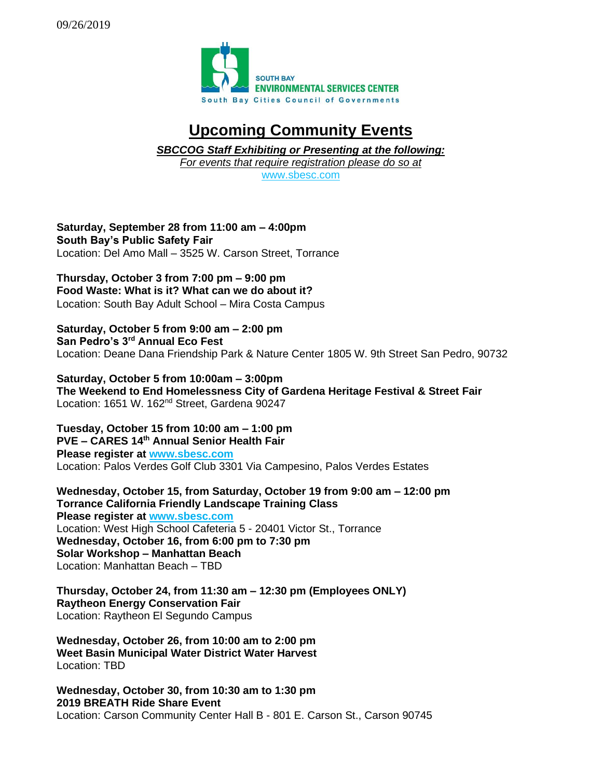

## **Upcoming Community Events**

*SBCCOG Staff Exhibiting or Presenting at the following: For events that require registration please do so at* 

[www.sbesc.com](http://www.sbesc.com/)

**Saturday, September 28 from 11:00 am – 4:00pm South Bay's Public Safety Fair** Location: Del Amo Mall – 3525 W. Carson Street, Torrance

**Thursday, October 3 from 7:00 pm – 9:00 pm Food Waste: What is it? What can we do about it?** Location: South Bay Adult School – Mira Costa Campus

**Saturday, October 5 from 9:00 am – 2:00 pm San Pedro's 3rd Annual Eco Fest** Location: Deane Dana Friendship Park & Nature Center 1805 W. 9th Street San Pedro, 90732

**Saturday, October 5 from 10:00am – 3:00pm The Weekend to End Homelessness City of Gardena Heritage Festival & Street Fair** Location: 1651 W. 162<sup>nd</sup> Street, Gardena 90247

**Tuesday, October 15 from 10:00 am – 1:00 pm PVE – CARES 14th Annual Senior Health Fair**

**Please register at [www.sbesc.com](http://www.sbesc.com/)** Location: Palos Verdes Golf Club 3301 Via Campesino, Palos Verdes Estates

**Wednesday, October 15, from Saturday, October 19 from 9:00 am – 12:00 pm Torrance California Friendly Landscape Training Class Please register at [www.sbesc.com](http://www.sbesc.com/)** Location: West High School Cafeteria 5 - 20401 Victor St., Torrance **Wednesday, October 16, from 6:00 pm to 7:30 pm Solar Workshop – Manhattan Beach** Location: Manhattan Beach – TBD

**Thursday, October 24, from 11:30 am – 12:30 pm (Employees ONLY) Raytheon Energy Conservation Fair** Location: Raytheon El Segundo Campus

**Wednesday, October 26, from 10:00 am to 2:00 pm Weet Basin Municipal Water District Water Harvest** Location: TBD

**Wednesday, October 30, from 10:30 am to 1:30 pm 2019 BREATH Ride Share Event** Location: Carson Community Center Hall B - 801 E. Carson St., Carson 90745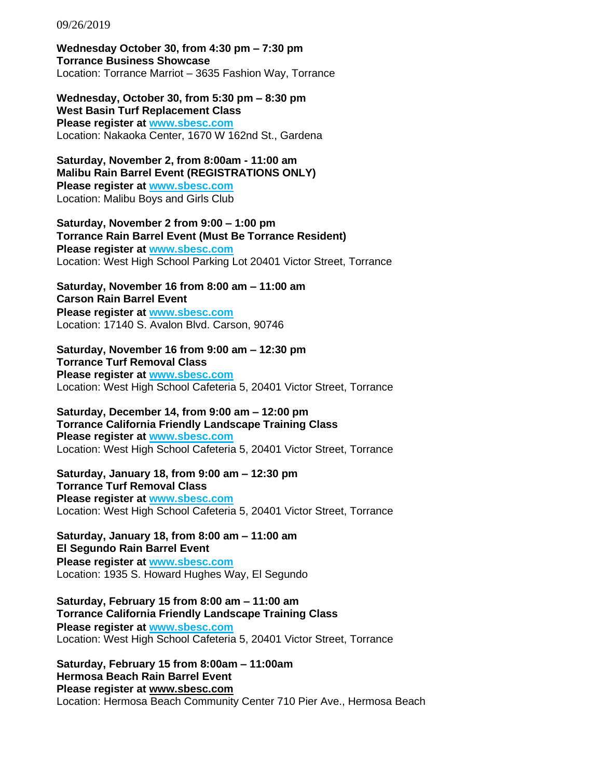09/26/2019

**Wednesday October 30, from 4:30 pm – 7:30 pm Torrance Business Showcase**  Location: Torrance Marriot – 3635 Fashion Way, Torrance

**Wednesday, October 30, from 5:30 pm – 8:30 pm West Basin Turf Replacement Class Please register at [www.sbesc.com](http://www.sbesc.com/)** Location: Nakaoka Center, 1670 W 162nd St., Gardena

**Saturday, November 2, from 8:00am - 11:00 am Malibu Rain Barrel Event (REGISTRATIONS ONLY) Please register at [www.sbesc.com](http://www.sbesc.com/)** Location: Malibu Boys and Girls Club

**Saturday, November 2 from 9:00 – 1:00 pm Torrance Rain Barrel Event (Must Be Torrance Resident) Please register at [www.sbesc.com](http://www.sbesc.com/)**

Location: West High School Parking Lot 20401 Victor Street, Torrance

**Saturday, November 16 from 8:00 am – 11:00 am Carson Rain Barrel Event Please register at [www.sbesc.com](http://www.sbesc.com/)** Location: 17140 S. Avalon Blvd. Carson, 90746

**Saturday, November 16 from 9:00 am – 12:30 pm Torrance Turf Removal Class Please register at [www.sbesc.com](http://www.sbesc.com/)** Location: West High School Cafeteria 5, 20401 Victor Street, Torrance

**Saturday, December 14, from 9:00 am – 12:00 pm Torrance California Friendly Landscape Training Class Please register at [www.sbesc.com](http://www.sbesc.com/)** Location: West High School Cafeteria 5, 20401 Victor Street, Torrance

**Saturday, January 18, from 9:00 am – 12:30 pm Torrance Turf Removal Class Please register at [www.sbesc.com](http://www.sbesc.com/)** Location: West High School Cafeteria 5, 20401 Victor Street, Torrance

**Saturday, January 18, from 8:00 am – 11:00 am El Segundo Rain Barrel Event Please register at [www.sbesc.com](http://www.sbesc.com/)** Location: 1935 S. Howard Hughes Way, El Segundo

**Saturday, February 15 from 8:00 am – 11:00 am Torrance California Friendly Landscape Training Class Please register at [www.sbesc.com](http://www.sbesc.com/)** Location: West High School Cafeteria 5, 20401 Victor Street, Torrance

**Saturday, February 15 from 8:00am – 11:00am Hermosa Beach Rain Barrel Event Please register at [www.sbesc.com](http://www.sbesc.com/)** Location: Hermosa Beach Community Center 710 Pier Ave., Hermosa Beach